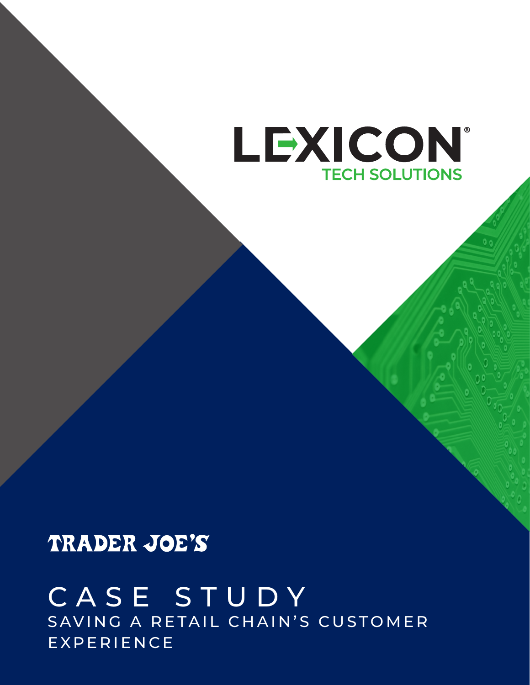# LEXICON® **TECH SOLUTIONS**

## TRADER JOE'S

## CASE STUDY SAVING A RETAIL CHAIN'S CUSTOMER EXPERIENCE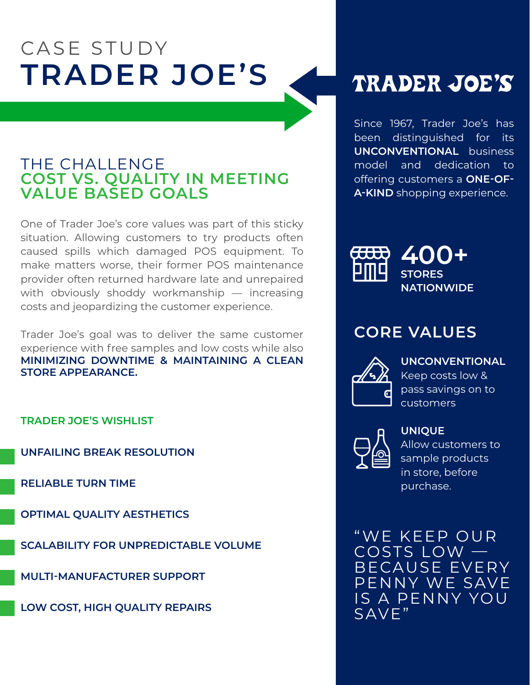## CASE STUDY **TRADER JOE'S**

### THE CHALLENGE **COST VS. QUALITY IN MEETING VALUE BASED GOALS**

One of Trader Joe's core values was part of this sticky situation. Allowing customers to try products often caused spills which damaged POS equipment. To make matters worse, their former POS maintenance provider often returned hardware late and unrepaired with obviously shoddy workmanship — increasing costs and jeopardizing the customer experience.

Trader Joe's goal was to deliver the same customer experience with free samples and low costs while also **MINIMIZING DOWNTIME & MAINTAINING A CLEAN STORE APPEARANCE.**

#### **TRADER JOE'S WISHLIST**

**UNFAILING BREAK RESOLUTION**

**RELIABLE TURN TIME**

**OPTIMAL QUALITY AESTHETICS**

**SCALABILITY FOR UNPREDICTABLE VOLUME**

**MULTI-MANUFACTURER SUPPORT**

**LOW COST, HIGH QUALITY REPAIRS**

## TRADER JOE'S

Since 1967, Trader Joe's has been distinguished for its **UNCONVENTIONAL** business model and dedication to offering customers a **ONE-OF-A-KIND** shopping experience.



### **CORE VALUES**



#### **UNCONVENTIONAL**

Keep costs low & pass savings on to customers



### **UNIQUE**

Allow customers to sample products in store, before purchase.

" WE KEEP OUR COSTS LOW — BECAUSE EVERY PENNY WE SAVE IS A PENNY YOU SAVE"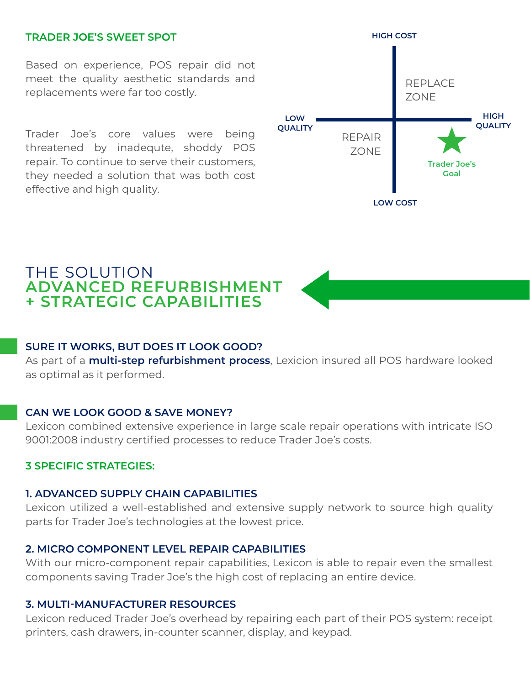#### **TRADER JOE'S SWEET SPOT**

Based on experience, POS repair did not meet the quality aesthetic standards and replacements were far too costly.

Trader Joe's core values were being threatened by inadequte, shoddy POS repair. To continue to serve their customers, they needed a solution that was both cost effective and high quality.



### THE SOLUTION **ADVANCED REFURBISHMENT + STRATEGIC CAPABILITIES**

#### **SURE IT WORKS, BUT DOES IT LOOK GOOD?**

As part of a **multi-step refurbishment process**, Lexicion insured all POS hardware looked as optimal as it performed.

#### **CAN WE LOOK GOOD & SAVE MONEY?**

Lexicon combined extensive experience in large scale repair operations with intricate ISO 9001:2008 industry certified processes to reduce Trader Joe's costs.

#### **3 SPECIFIC STRATEGIES:**

#### **1. ADVANCED SUPPLY CHAIN CAPABILITIES**

Lexicon utilized a well-established and extensive supply network to source high quality parts for Trader Joe's technologies at the lowest price.

#### **2. MICRO COMPONENT LEVEL REPAIR CAPABILITIES**

With our micro-component repair capabilities, Lexicon is able to repair even the smallest components saving Trader Joe's the high cost of replacing an entire device.

#### **3. MULTI-MANUFACTURER RESOURCES**

Lexicon reduced Trader Joe's overhead by repairing each part of their POS system: receipt printers, cash drawers, in-counter scanner, display, and keypad.